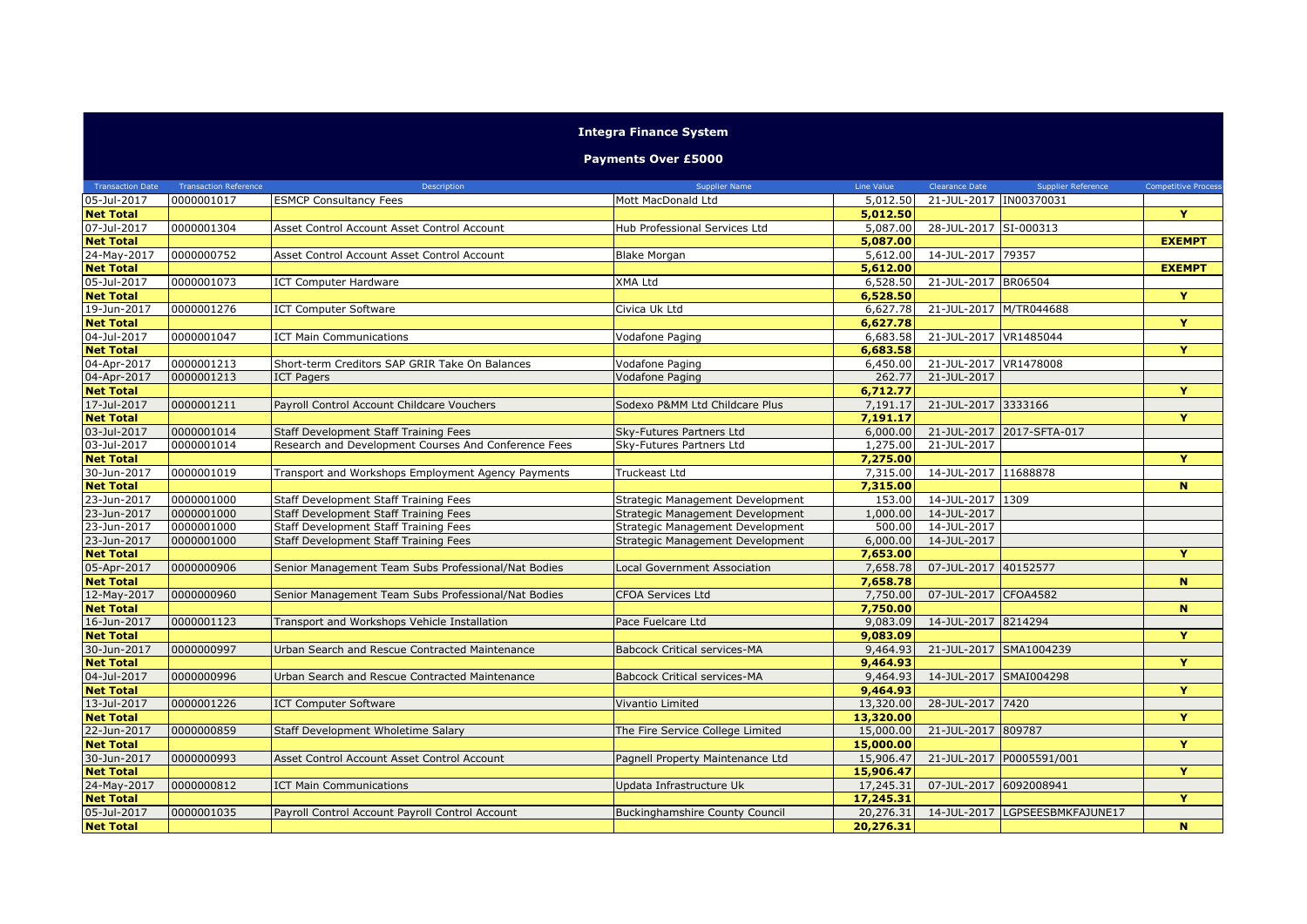| <b>Integra Finance System</b><br><b>Payments Over £5000</b> |            |                                                      |                                       |           |                        |                                |               |  |  |  |  |
|-------------------------------------------------------------|------------|------------------------------------------------------|---------------------------------------|-----------|------------------------|--------------------------------|---------------|--|--|--|--|
|                                                             |            |                                                      |                                       |           |                        |                                |               |  |  |  |  |
| 05-Jul-2017                                                 | 0000001017 | <b>ESMCP Consultancy Fees</b>                        | Mott MacDonald Ltd                    | 5,012.50  | 21-JUL-2017 IN00370031 |                                |               |  |  |  |  |
| <b>Net Total</b>                                            |            |                                                      |                                       | 5,012.50  |                        |                                | Y             |  |  |  |  |
| 07-Jul-2017                                                 | 0000001304 | Asset Control Account Asset Control Account          | Hub Professional Services Ltd         | 5,087.00  | 28-JUL-2017 SI-000313  |                                |               |  |  |  |  |
| <b>Net Total</b>                                            |            |                                                      |                                       | 5,087.00  |                        |                                | <b>EXEMPT</b> |  |  |  |  |
| 24-May-2017                                                 | 0000000752 | Asset Control Account Asset Control Account          | <b>Blake Morgan</b>                   | 5,612.00  | 14-JUL-2017 79357      |                                |               |  |  |  |  |
| <b>Net Total</b>                                            |            |                                                      |                                       | 5,612.00  |                        |                                | <b>EXEMPT</b> |  |  |  |  |
| 05-Jul-2017                                                 | 0000001073 | <b>ICT Computer Hardware</b>                         | XMA Ltd                               | 6,528.50  | 21-JUL-2017 BR06504    |                                |               |  |  |  |  |
| <b>Net Total</b>                                            |            |                                                      |                                       | 6,528,50  |                        |                                | Y             |  |  |  |  |
| 19-Jun-2017                                                 | 0000001276 | <b>ICT Computer Software</b>                         | Civica Uk Ltd                         | 6,627.78  |                        | 21-JUL-2017 M/TR044688         |               |  |  |  |  |
| <b>Net Total</b>                                            |            |                                                      |                                       | 6,627.78  |                        |                                | Y             |  |  |  |  |
| $04 -$ Jul-2017                                             | 0000001047 | <b>ICT Main Communications</b>                       | Vodafone Paging                       | 6,683.58  | 21-JUL-2017 VR1485044  |                                |               |  |  |  |  |
| <b>Net Total</b>                                            |            |                                                      |                                       | 6,683.58  |                        |                                | Ÿ             |  |  |  |  |
| 04-Apr-2017                                                 | 0000001213 | Short-term Creditors SAP GRIR Take On Balances       | Vodafone Paging                       | 6,450.00  | 21-JUL-2017 VR1478008  |                                |               |  |  |  |  |
| 04-Apr-2017                                                 | 0000001213 | <b>ICT Pagers</b>                                    | <b>Vodafone Paging</b>                | 262.77    | 21-JUL-2017            |                                |               |  |  |  |  |
| <b>Net Total</b>                                            |            |                                                      |                                       | 6,712.77  |                        |                                | Y             |  |  |  |  |
| 17-Jul-2017                                                 | 0000001211 | Payroll Control Account Childcare Vouchers           | Sodexo P&MM Ltd Childcare Plus        | 7,191.17  | 21-JUL-2017 3333166    |                                |               |  |  |  |  |
| <b>Net Total</b>                                            |            |                                                      |                                       | 7.191.17  |                        |                                | Y             |  |  |  |  |
| 03-Jul-2017                                                 | 0000001014 | <b>Staff Development Staff Training Fees</b>         | Sky-Futures Partners Ltd              | 6,000.00  |                        | 21-JUL-2017 2017-SFTA-017      |               |  |  |  |  |
| 03-Jul-2017                                                 | 0000001014 | Research and Development Courses And Conference Fees | Sky-Futures Partners Ltd              | 1,275.00  | 21-JUL-2017            |                                |               |  |  |  |  |
| <b>Net Total</b>                                            |            |                                                      |                                       | 7,275.00  |                        |                                | Y             |  |  |  |  |
| 30-Jun-2017                                                 | 0000001019 | Transport and Workshops Employment Agency Payments   | Truckeast Ltd                         | 7,315.00  | 14-JUL-2017 11688878   |                                |               |  |  |  |  |
| <b>Net Total</b>                                            |            |                                                      |                                       | 7,315.00  |                        |                                | N             |  |  |  |  |
| 23-Jun-2017                                                 | 0000001000 | Staff Development Staff Training Fees                | Strategic Management Development      | 153.00    | 14-JUL-2017 1309       |                                |               |  |  |  |  |
| 23-Jun-2017                                                 | 0000001000 | Staff Development Staff Training Fees                | Strategic Management Development      | 1,000.00  | 14-JUL-2017            |                                |               |  |  |  |  |
| 23-Jun-2017                                                 | 0000001000 | Staff Development Staff Training Fees                | Strategic Management Development      | 500.00    | 14-JUL-2017            |                                |               |  |  |  |  |
| 23-Jun-2017                                                 | 0000001000 | Staff Development Staff Training Fees                | Strategic Management Development      | 6,000.00  | 14-JUL-2017            |                                |               |  |  |  |  |
| <b>Net Total</b>                                            |            |                                                      |                                       | 7,653.00  |                        |                                | Y             |  |  |  |  |
| 05-Apr-2017                                                 | 0000000906 | Senior Management Team Subs Professional/Nat Bodies  | <b>Local Government Association</b>   | 7,658.78  | 07-JUL-2017 40152577   |                                |               |  |  |  |  |
| <b>Net Total</b>                                            |            |                                                      |                                       | 7,658.78  |                        |                                | $\mathbf{N}$  |  |  |  |  |
| 12-May-2017                                                 | 0000000960 | Senior Management Team Subs Professional/Nat Bodies  | <b>CFOA Services Ltd</b>              | 7,750.00  | 07-JUL-2017 CFOA4582   |                                |               |  |  |  |  |
| <b>Net Total</b>                                            |            |                                                      |                                       | 7,750.00  |                        |                                | $\mathbf{N}$  |  |  |  |  |
| 16-Jun-2017                                                 | 0000001123 | Transport and Workshops Vehicle Installation         | Pace Fuelcare Ltd                     | 9,083.09  | 14-JUL-2017 8214294    |                                |               |  |  |  |  |
| <b>Net Total</b>                                            |            |                                                      |                                       | 9,083.09  |                        |                                | Y             |  |  |  |  |
| 30-Jun-2017                                                 | 0000000997 | Urban Search and Rescue Contracted Maintenance       | <b>Babcock Critical services-MA</b>   | 9,464.93  |                        | 21-JUL-2017 SMA1004239         |               |  |  |  |  |
| <b>Net Total</b>                                            |            |                                                      |                                       | 9,464.93  |                        |                                | Y             |  |  |  |  |
| 04-Jul-2017                                                 | 0000000996 | Urban Search and Rescue Contracted Maintenance       | <b>Babcock Critical services-MA</b>   | 9,464.93  |                        | 14-JUL-2017 SMAI004298         |               |  |  |  |  |
| <b>Net Total</b>                                            |            |                                                      |                                       | 9,464.93  |                        |                                | Y             |  |  |  |  |
| 13-Jul-2017                                                 | 0000001226 | <b>ICT Computer Software</b>                         | Vivantio Limited                      | 13,320.00 | 28-JUL-2017 7420       |                                |               |  |  |  |  |
| <b>Net Total</b>                                            |            |                                                      |                                       | 13,320.00 |                        |                                | Ÿ             |  |  |  |  |
| 22-Jun-2017                                                 | 0000000859 | Staff Development Wholetime Salary                   | The Fire Service College Limited      | 15,000.00 | 21-JUL-2017 809787     |                                |               |  |  |  |  |
| <b>Net Total</b>                                            |            |                                                      |                                       | 15,000.00 |                        |                                | Y             |  |  |  |  |
| 30-Jun-2017                                                 | 0000000993 | Asset Control Account Asset Control Account          | Pagnell Property Maintenance Ltd      | 15,906.47 |                        | 21-JUL-2017 P0005591/001       |               |  |  |  |  |
| <b>Net Total</b>                                            |            |                                                      |                                       | 15,906.47 |                        |                                | Y             |  |  |  |  |
| 24-May-2017                                                 | 0000000812 | <b>ICT Main Communications</b>                       | Updata Infrastructure Uk              | 17,245.31 | 07-JUL-2017 6092008941 |                                |               |  |  |  |  |
| <b>Net Total</b>                                            |            |                                                      |                                       | 17,245.31 |                        |                                | Y             |  |  |  |  |
| 05-Jul-2017                                                 | 0000001035 | Payroll Control Account Payroll Control Account      | <b>Buckinghamshire County Council</b> | 20,276.31 |                        | 14-JUL-2017 LGPSEESBMKFAJUNE17 |               |  |  |  |  |
| <b>Net Total</b>                                            |            |                                                      |                                       | 20,276.31 |                        |                                | N             |  |  |  |  |